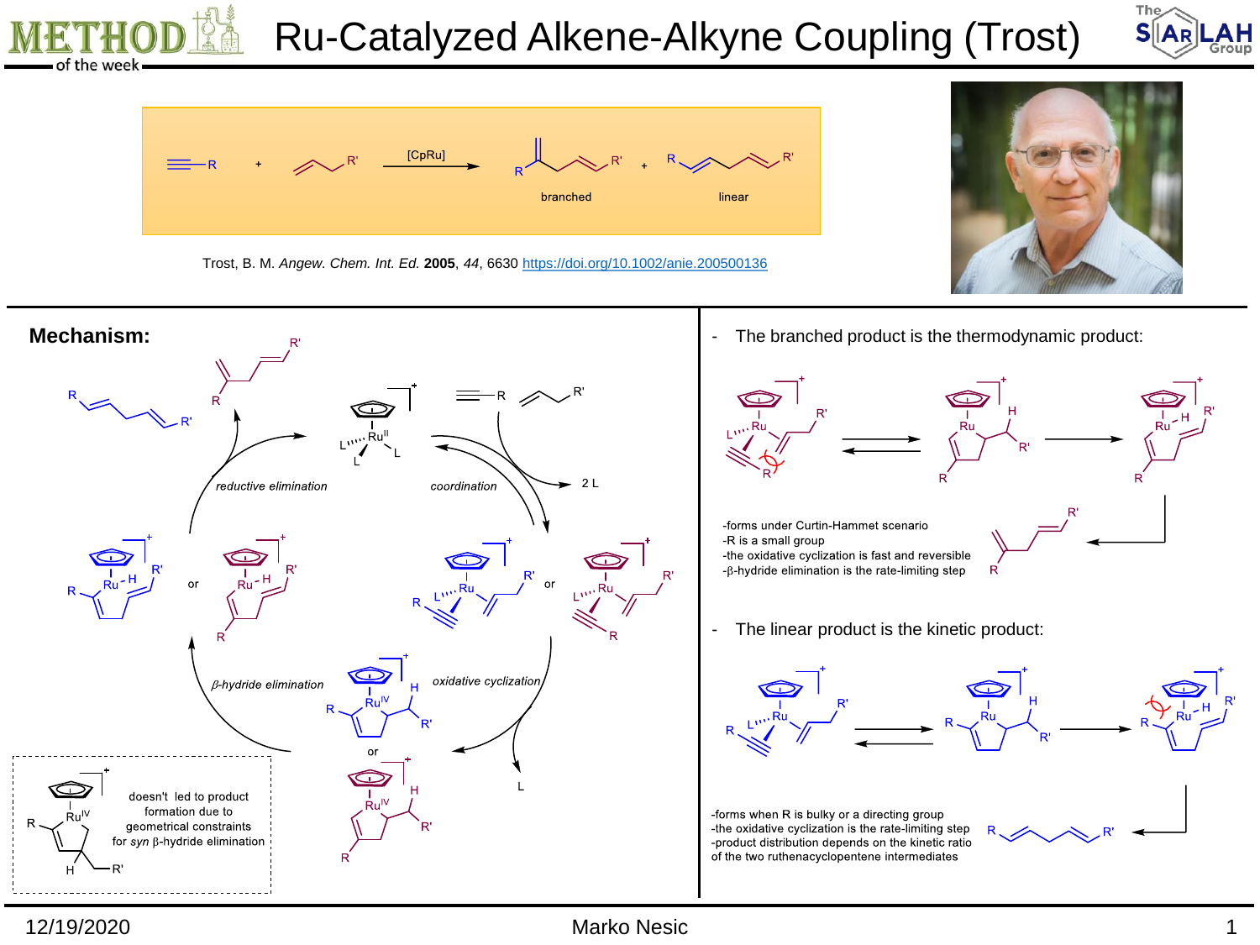

12/19/2020 Marko Nesic 1

The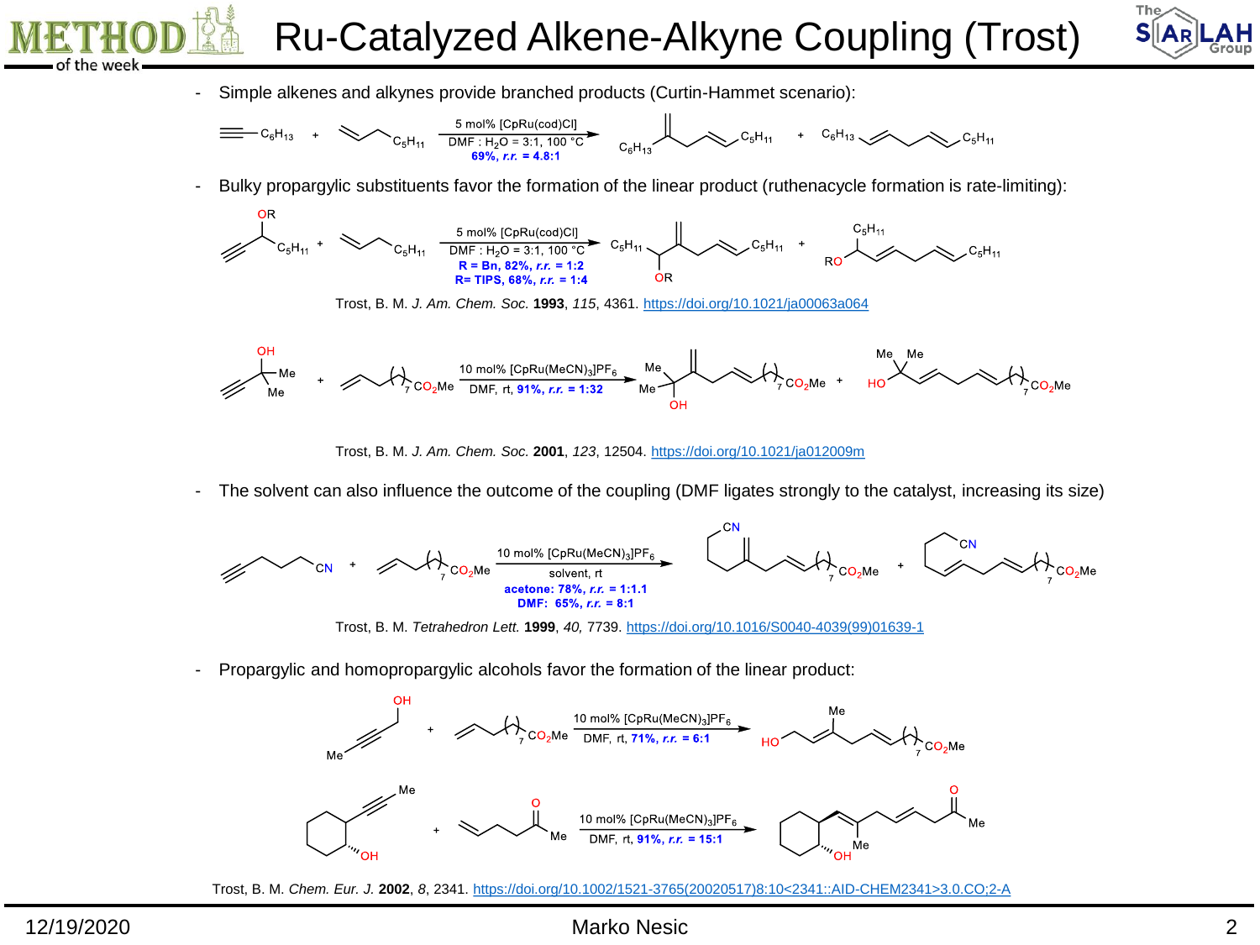Ru-Catalyzed Alkene-Alkyne Coupling (Trost)



- Simple alkenes and alkynes provide branched products (Curtin-Hammet scenario):



- Bulky propargylic substituents favor the formation of the linear product (ruthenacycle formation is rate-limiting):



Trost, B. M. *J. Am. Chem. Soc.* **1993**, *115*, 4361. <https://doi.org/10.1021/ja00063a064>



Trost, B. M. *J. Am. Chem. Soc.* **2001**, *123*, 12504. <https://doi.org/10.1021/ja012009m>

- The solvent can also influence the outcome of the coupling (DMF ligates strongly to the catalyst, increasing its size)



Trost, B. M. *Tetrahedron Lett.* **1999**, *40,* 7739. [https://doi.org/10.1016/S0040-4039\(99\)01639-1](https://doi.org/10.1016/S0040-4039(99)01639-1)

- Propargylic and homopropargylic alcohols favor the formation of the linear product:



Trost, B. M. *Chem. Eur. J.* **2002**, *8*, 2341. [https://doi.org/10.1002/1521-3765\(20020517\)8:10<2341::AID-CHEM2341>3.0.CO;2-A](https://doi.org/10.1002/1521-3765(20020517)8:10<2341::AID-CHEM2341>3.0.CO;2-A)

12/19/2020 Marko Nesic 2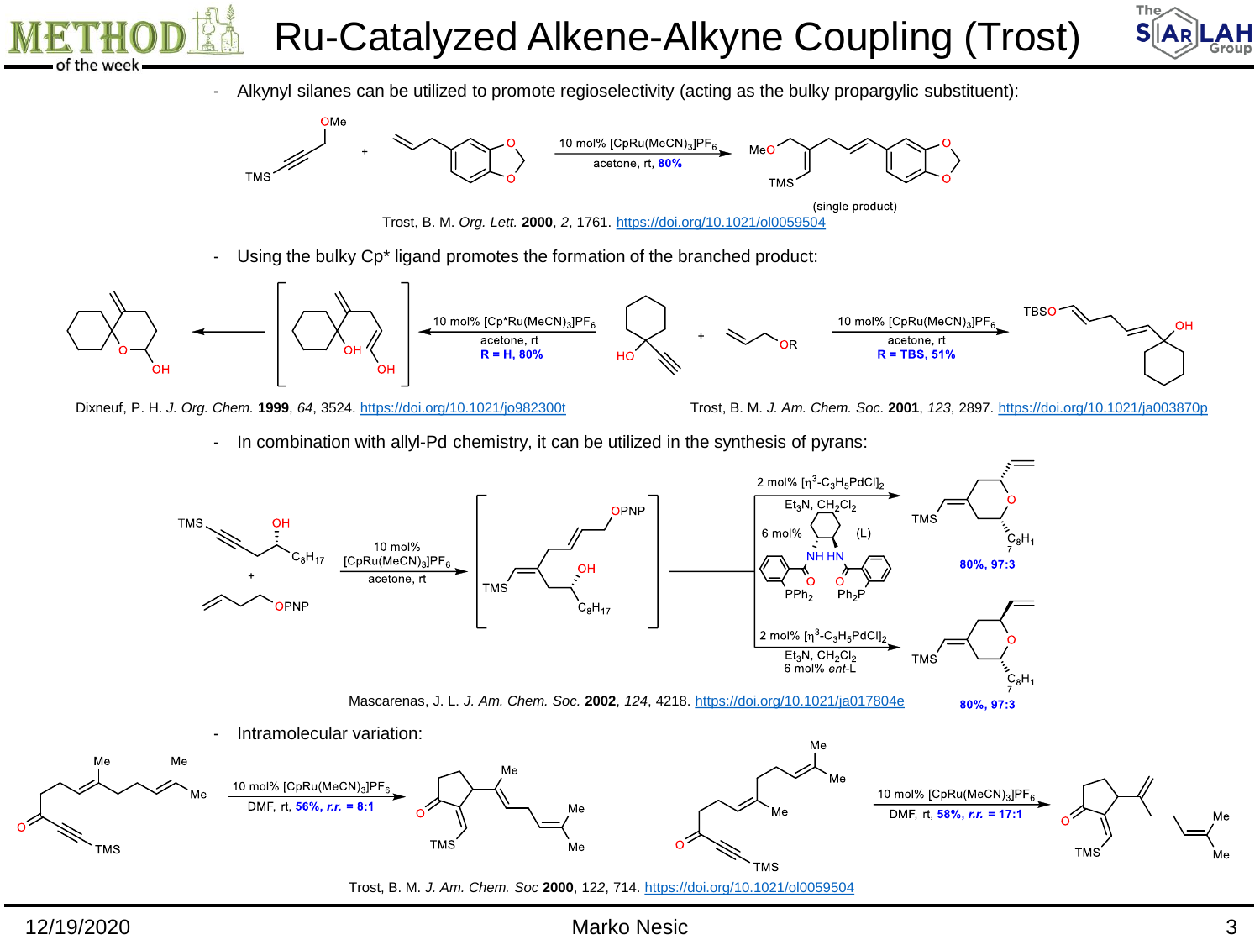Ru-Catalyzed Alkene-Alkyne Coupling (Trost)



- Alkynyl silanes can be utilized to promote regioselectivity (acting as the bulky propargylic substituent):



(single product)

Trost, B. M. *Org. Lett.* **2000**, *2*, 1761. <https://doi.org/10.1021/ol0059504>

- Using the bulky Cp\* ligand promotes the formation of the branched product:



Dixneuf, P. H. *J. Org. Chem.* **1999**, *64*, 3524. <https://doi.org/10.1021/jo982300t> Trost, B. M. *J. Am. Chem. Soc.* **2001**, *123*, 2897.<https://doi.org/10.1021/ja003870p>

- In combination with allyl-Pd chemistry, it can be utilized in the synthesis of pyrans:



## 12/19/2020 Marko Nesic 3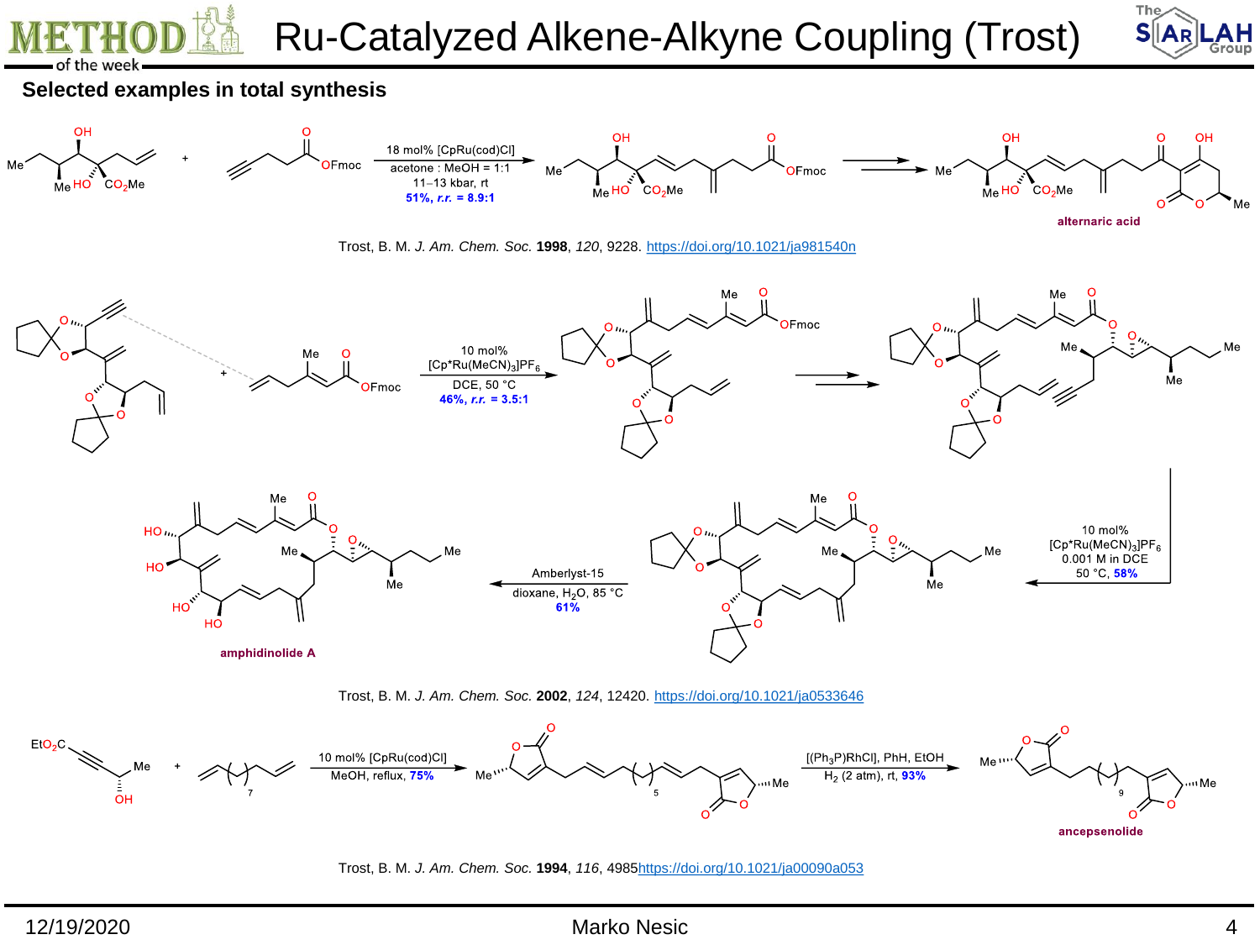

## 12/19/2020 Marko Nesic 4